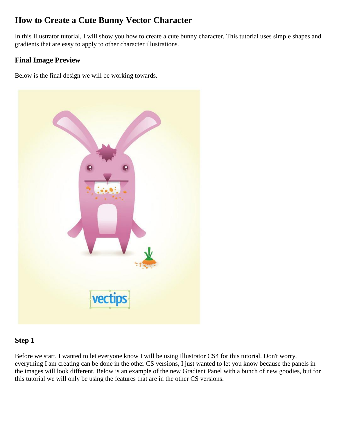## **How to Create a Cute Bunny Vector Character**

In this Illustrator tutorial, I will show you how to create a cute bunny character. This tutorial uses simple shapes and gradients that are easy to apply to other character illustrations.

#### **Final Image Preview**

Below is the final design we will be working towards.



#### **Step 1**

Before we start, I wanted to let everyone know I will be using Illustrator CS4 for this tutorial. Don't worry, everything I am creating can be done in the other CS versions, I just wanted to let you know because the panels in the images will look different. Below is an example of the new Gradient Panel with a bunch of new goodies, but for this tutorial we will only be using the features that are in the other CS versions.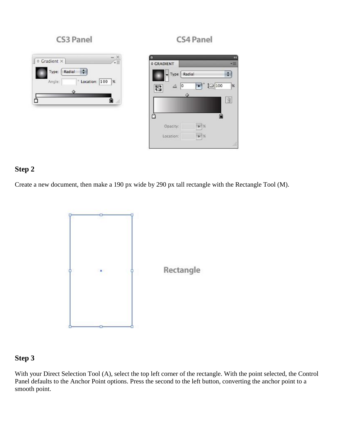#### CS3 Panel

#### $\frac{1}{\sqrt{2}}$  $\circ$  Gradient  $\times$ Type:  $Ra$ dial  $\div$  $\degree$  Location:  $\boxed{100}$  % Angle: ۵ 5 ऻ

| <b>¢ GRADIENT</b> |               |       |    |
|-------------------|---------------|-------|----|
|                   | Type   Radial |       |    |
| Δ<br>⊞२           | ۱o            | 10100 | 96 |
| 七国                |               |       |    |
|                   |               |       |    |
|                   |               |       | å  |
|                   |               |       |    |
| Opacity:          |               | 196   |    |

#### **Step 2**

Create a new document, then make a 190 px wide by 290 px tall rectangle with the Rectangle Tool (M).



#### **Step 3**

With your Direct Selection Tool (A), select the top left corner of the rectangle. With the point selected, the Control Panel defaults to the Anchor Point options. Press the second to the left button, converting the anchor point to a smooth point.

### CS4 Panel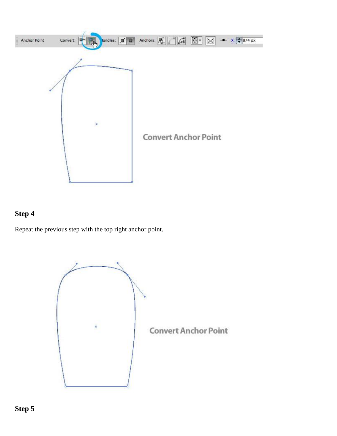

Repeat the previous step with the top right anchor point.

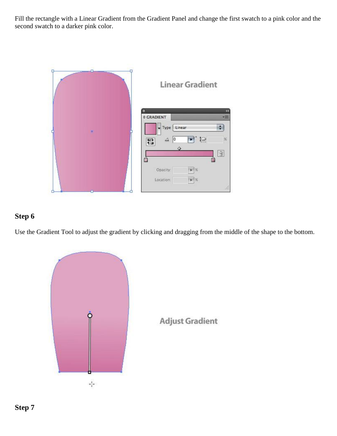Fill the rectangle with a Linear Gradient from the Gradient Panel and change the first swatch to a pink color and the second swatch to a darker pink color.



#### **Step 6**

Use the Gradient Tool to adjust the gradient by clicking and dragging from the middle of the shape to the bottom.



**Adjust Gradient**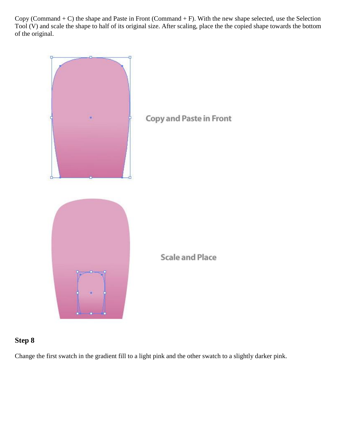Copy (Command  $+ C$ ) the shape and Paste in Front (Command  $+ F$ ). With the new shape selected, use the Selection Tool (V) and scale the shape to half of its original size. After scaling, place the the copied shape towards the bottom of the original.



#### **Step 8**

Change the first swatch in the gradient fill to a light pink and the other swatch to a slightly darker pink.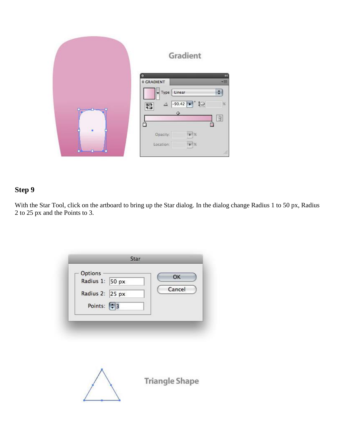|   | Gradient                                                                                                                                         |
|---|--------------------------------------------------------------------------------------------------------------------------------------------------|
|   | Æ<br><b>≎ GRADIENT</b><br>Linear<br>$\blacktriangledown$ Type<br>÷<br>$-90.42$ $\bullet$ $\bigcirc$<br>$\%$<br>Δ<br>醫<br>♦<br><b>J</b><br>Â<br>Ô |
| ۰ | Opacity:<br>$-1%$<br>Location:<br>$\blacktriangleright$ 36<br>$\frac{1}{2}$                                                                      |

With the Star Tool, click on the artboard to bring up the Star dialog. In the dialog change Radius 1 to 50 px, Radius 2 to 25 px and the Points to 3.

| Options<br>Radius 1: 50 px                         | OK<br>Cancel |
|----------------------------------------------------|--------------|
| Radius 2: 25 px<br>Points: $\left  \div \right $ 3 |              |
|                                                    |              |
|                                                    |              |
|                                                    |              |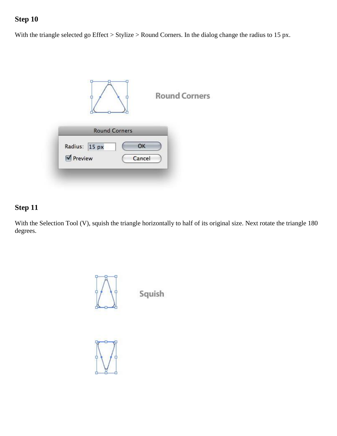With the triangle selected go Effect > Stylize > Round Corners. In the dialog change the radius to 15 px.

|                          |                      |              | <b>Round Corners</b> |
|--------------------------|----------------------|--------------|----------------------|
|                          | <b>Round Corners</b> |              |                      |
| Radius: 15 px<br>Preview |                      | OK<br>Cancel |                      |

## **Step 11**

With the Selection Tool (V), squish the triangle horizontally to half of its original size. Next rotate the triangle 180 degrees.



Squish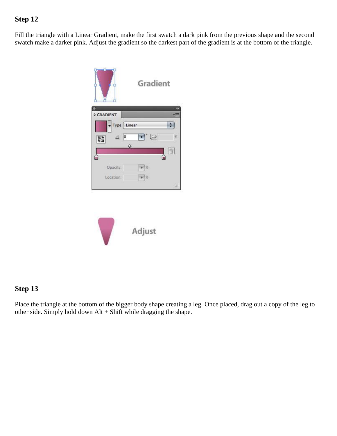Fill the triangle with a Linear Gradient, make the first swatch a dark pink from the previous shape and the second swatch make a darker pink. Adjust the gradient so the darkest part of the gradient is at the bottom of the triangle.



## **Step 13**

Place the triangle at the bottom of the bigger body shape creating a leg. Once placed, drag out a copy of the leg to other side. Simply hold down Alt + Shift while dragging the shape.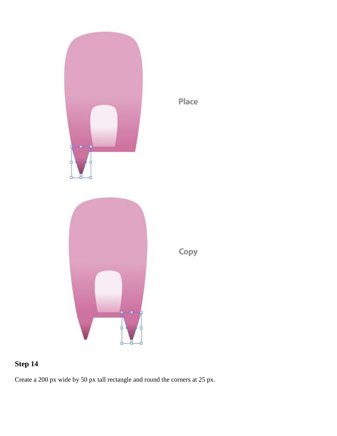

## Place

# **Step 14**

Create a 200 px wide by 50 px tall rectangle and round the corners at 25 px.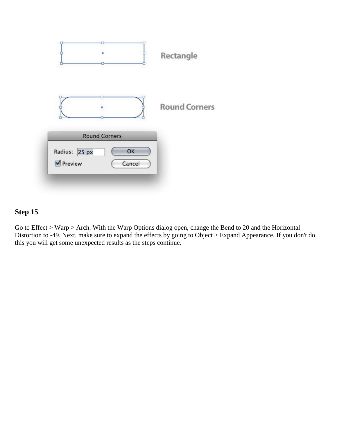|                          | ۰                                    | Rectangle            |
|--------------------------|--------------------------------------|----------------------|
|                          |                                      | <b>Round Corners</b> |
| Radius: 25 px<br>Preview | <b>Round Corners</b><br>OK<br>Cancel |                      |

Go to Effect > Warp > Arch. With the Warp Options dialog open, change the Bend to 20 and the Horizontal Distortion to -49. Next, make sure to expand the effects by going to Object > Expand Appearance. If you don't do this you will get some unexpected results as the steps continue.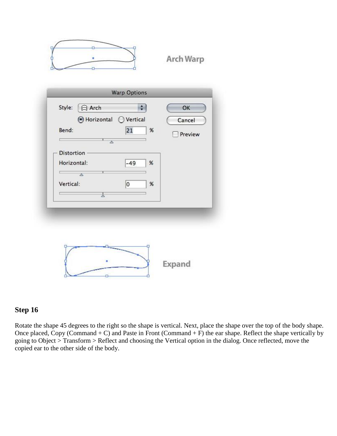

**Arch Warp** 

#### **Step 16**

Rotate the shape 45 degrees to the right so the shape is vertical. Next, place the shape over the top of the body shape. Once placed, Copy (Command  $+ C$ ) and Paste in Front (Command  $+ F$ ) the ear shape. Reflect the shape vertically by going to Object > Transform > Reflect and choosing the Vertical option in the dialog. Once reflected, move the copied ear to the other side of the body.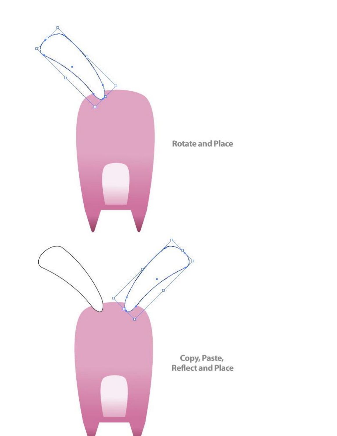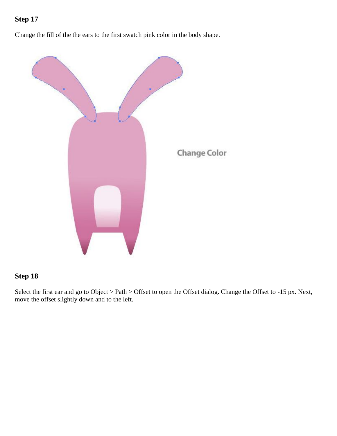Change the fill of the the ears to the first swatch pink color in the body shape.



#### **Step 18**

Select the first ear and go to Object > Path > Offset to open the Offset dialog. Change the Offset to -15 px. Next, move the offset slightly down and to the left.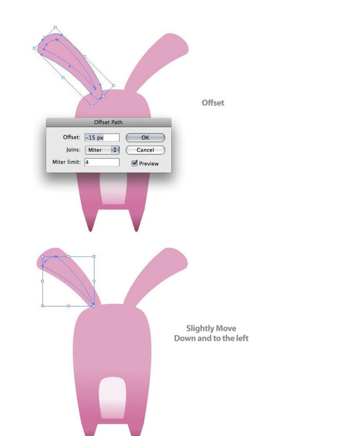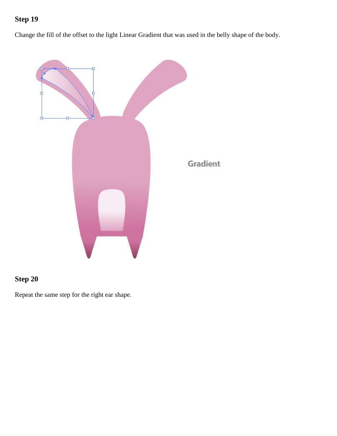Change the fill of the offset to the light Linear Gradient that was used in the belly shape of the body.



## **Step 20**

Repeat the same step for the right ear shape.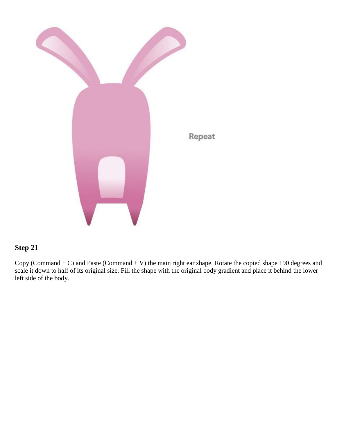

Copy (Command  $+ C$ ) and Paste (Command  $+ V$ ) the main right ear shape. Rotate the copied shape 190 degrees and scale it down to half of its original size. Fill the shape with the original body gradient and place it behind the lower left side of the body.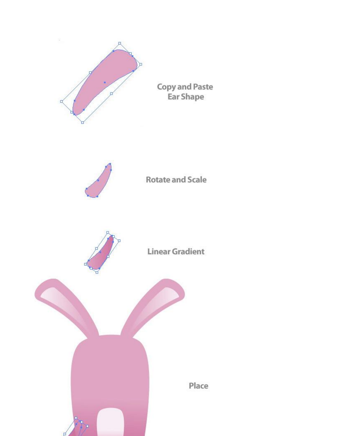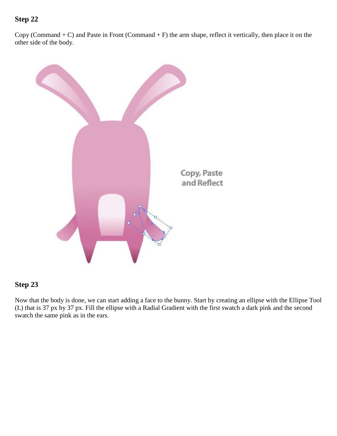Copy (Command  $+ C$ ) and Paste in Front (Command  $+ F$ ) the arm shape, reflect it vertically, then place it on the other side of the body.



#### **Step 23**

Now that the body is done, we can start adding a face to the bunny. Start by creating an ellipse with the Ellipse Tool (L) that is 37 px by 37 px. Fill the ellipse with a Radial Gradient with the first swatch a dark pink and the second swatch the same pink as in the ears.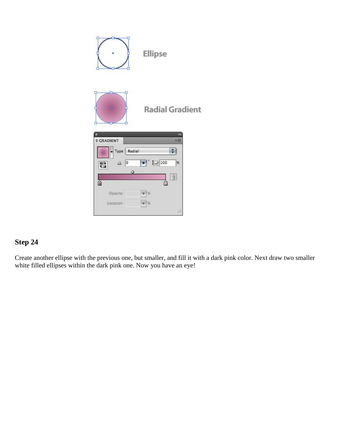

Create another ellipse with the previous one, but smaller, and fill it with a dark pink color. Next draw two smaller white filled ellipses within the dark pink one. Now you have an eye!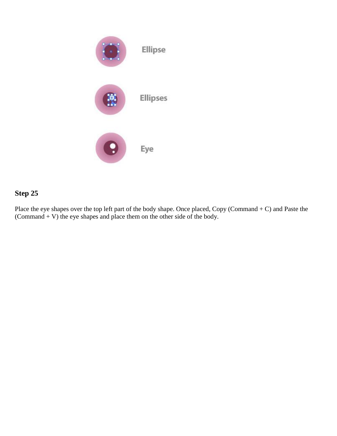

Place the eye shapes over the top left part of the body shape. Once placed, Copy (Command + C) and Paste the (Command  $+$  V) the eye shapes and place them on the other side of the body.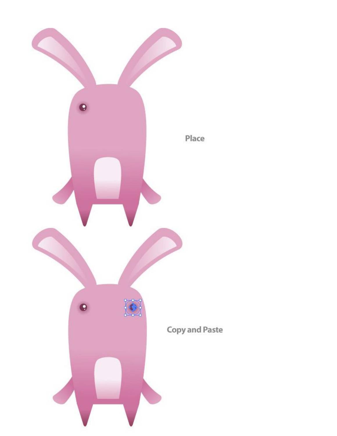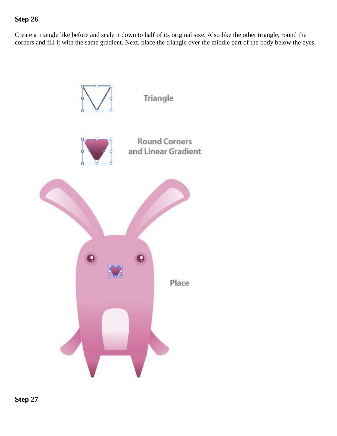Create a triangle like before and scale it down to half of its original size. Also like the other triangle, round the corners and fill it with the same gradient. Next, place the triangle over the middle part of the body below the eyes.



**Step 27**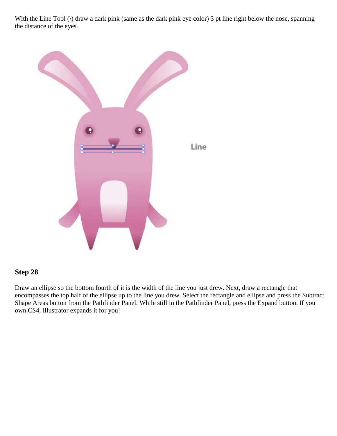With the Line Tool (\) draw a dark pink (same as the dark pink eye color) 3 pt line right below the nose, spanning the distance of the eyes.



#### **Step 28**

Draw an ellipse so the bottom fourth of it is the width of the line you just drew. Next, draw a rectangle that encompasses the top half of the ellipse up to the line you drew. Select the rectangle and ellipse and press the Subtract Shape Areas button from the Pathfinder Panel. While still in the Pathfinder Panel, press the Expand button. If you own CS4, Illustrator expands it for you!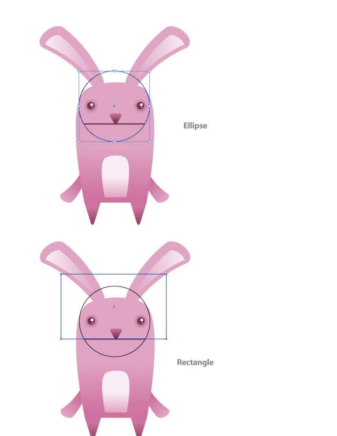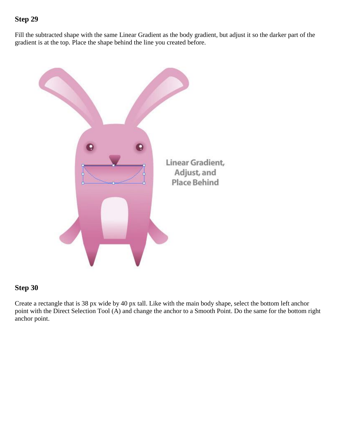Fill the subtracted shape with the same Linear Gradient as the body gradient, but adjust it so the darker part of the gradient is at the top. Place the shape behind the line you created before.



#### **Step 30**

Create a rectangle that is 38 px wide by 40 px tall. Like with the main body shape, select the bottom left anchor point with the Direct Selection Tool (A) and change the anchor to a Smooth Point. Do the same for the bottom right anchor point.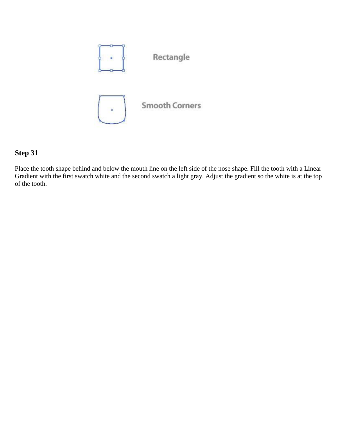

Place the tooth shape behind and below the mouth line on the left side of the nose shape. Fill the tooth with a Linear Gradient with the first swatch white and the second swatch a light gray. Adjust the gradient so the white is at the top of the tooth.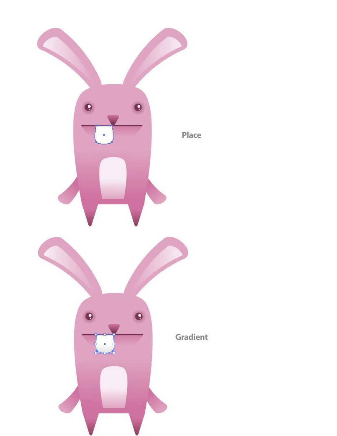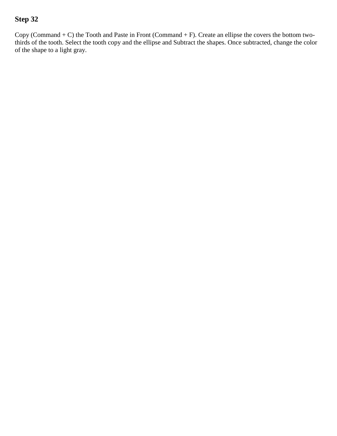Copy (Command + C) the Tooth and Paste in Front (Command + F). Create an ellipse the covers the bottom twothirds of the tooth. Select the tooth copy and the ellipse and Subtract the shapes. Once subtracted, change the color of the shape to a light gray.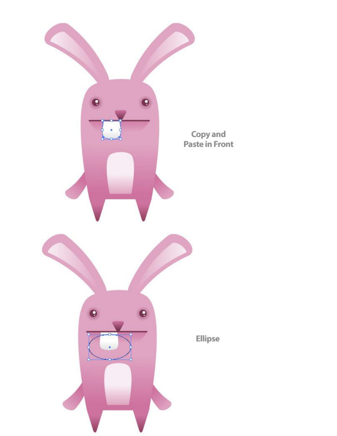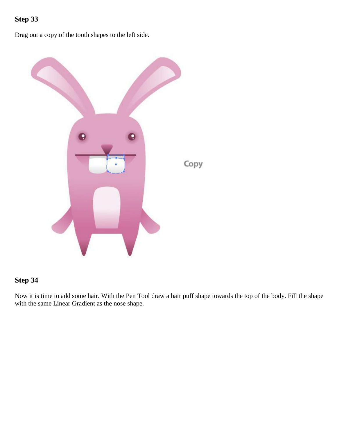Drag out a copy of the tooth shapes to the left side.



## **Step 34**

Now it is time to add some hair. With the Pen Tool draw a hair puff shape towards the top of the body. Fill the shape with the same Linear Gradient as the nose shape.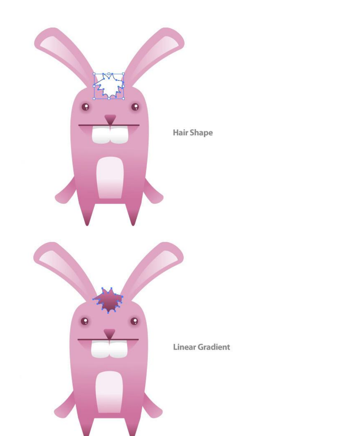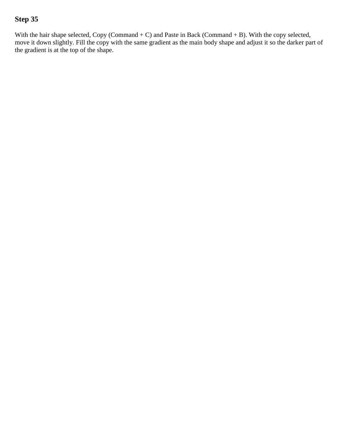With the hair shape selected, Copy (Command + C) and Paste in Back (Command + B). With the copy selected, move it down slightly. Fill the copy with the same gradient as the main body shape and adjust it so the darker part of the gradient is at the top of the shape.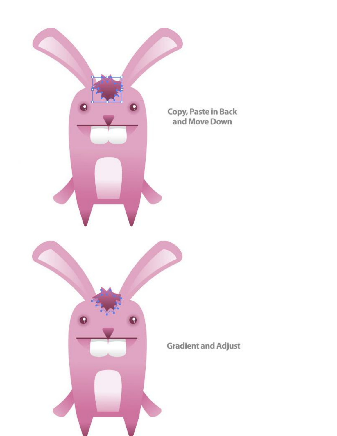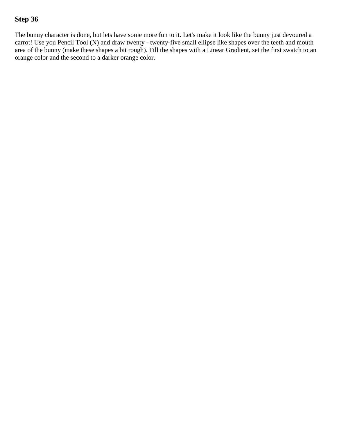The bunny character is done, but lets have some more fun to it. Let's make it look like the bunny just devoured a carrot! Use you Pencil Tool (N) and draw twenty - twenty-five small ellipse like shapes over the teeth and mouth area of the bunny (make these shapes a bit rough). Fill the shapes with a Linear Gradient, set the first swatch to an orange color and the second to a darker orange color.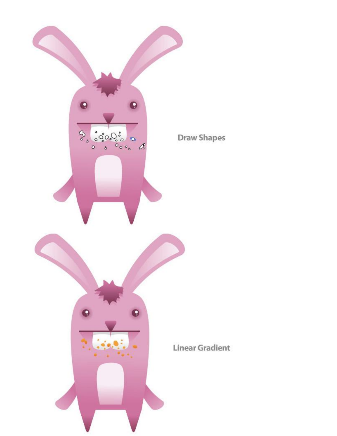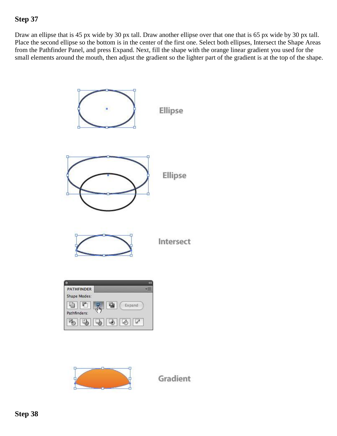Draw an ellipse that is 45 px wide by 30 px tall. Draw another ellipse over that one that is 65 px wide by 30 px tall. Place the second ellipse so the bottom is in the center of the first one. Select both ellipses, Intersect the Shape Areas from the Pathfinder Panel, and press Expand. Next, fill the shape with the orange linear gradient you used for the small elements around the mouth, then adjust the gradient so the lighter part of the gradient is at the top of the shape.





Gradient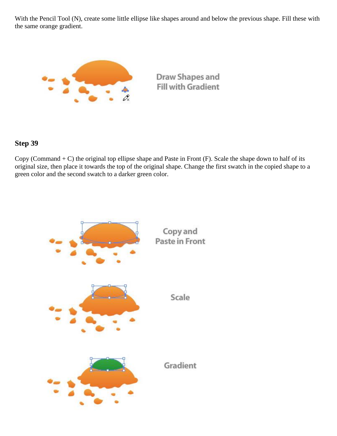With the Pencil Tool (N), create some little ellipse like shapes around and below the previous shape. Fill these with the same orange gradient.



#### **Step 39**

Copy (Command  $+ C$ ) the original top ellipse shape and Paste in Front (F). Scale the shape down to half of its original size, then place it towards the top of the original shape. Change the first swatch in the copied shape to a green color and the second swatch to a darker green color.

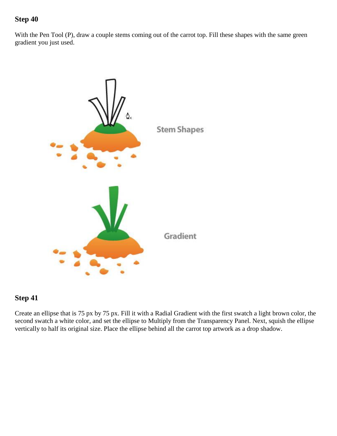With the Pen Tool (P), draw a couple stems coming out of the carrot top. Fill these shapes with the same green gradient you just used.



#### **Step 41**

Create an ellipse that is 75 px by 75 px. Fill it with a Radial Gradient with the first swatch a light brown color, the second swatch a white color, and set the ellipse to Multiply from the Transparency Panel. Next, squish the ellipse vertically to half its original size. Place the ellipse behind all the carrot top artwork as a drop shadow.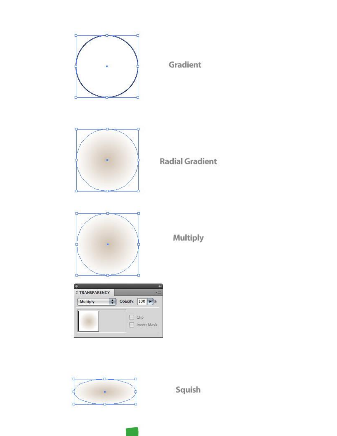



Squish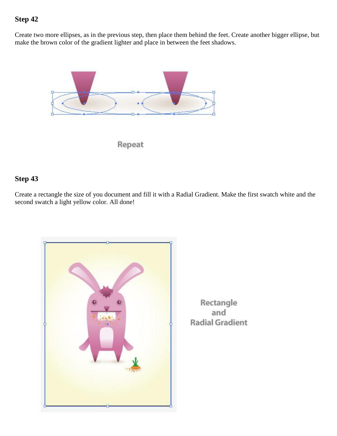Create two more ellipses, as in the previous step, then place them behind the feet. Create another bigger ellipse, but make the brown color of the gradient lighter and place in between the feet shadows.



#### **Step 43**

Create a rectangle the size of you document and fill it with a Radial Gradient. Make the first swatch white and the second swatch a light yellow color. All done!



Rectangle and **Radial Gradient**